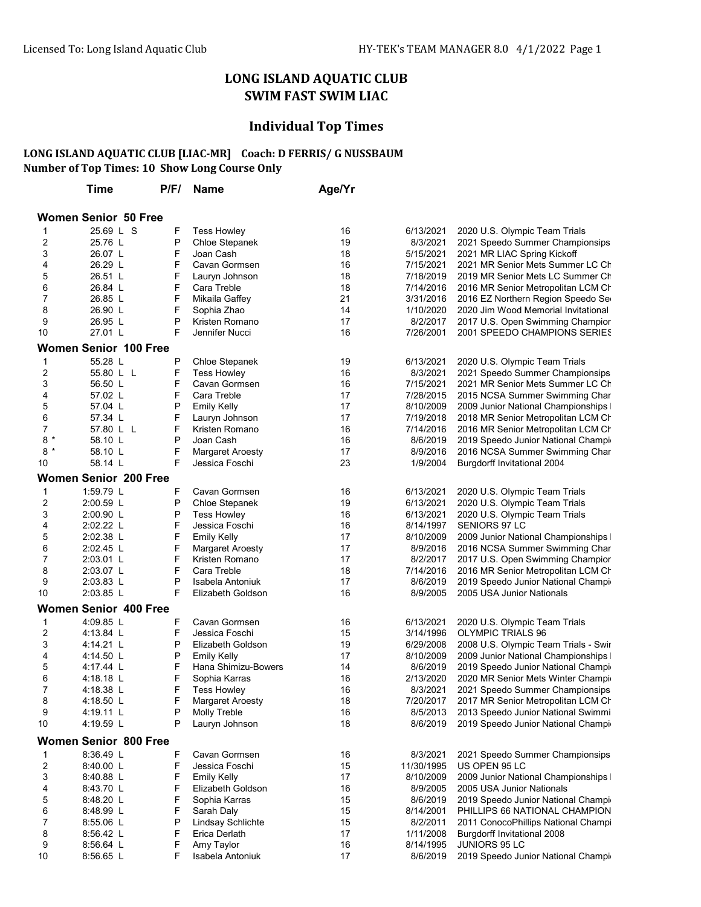## LONG ISLAND AQUATIC CLUB SWIM FAST SWIM LIAC

## Individual Top Times

## Number of Top Times: 10 Show Long Course Only LONG ISLAND AQUATIC CLUB [LIAC-MR] Coach: D FERRIS/ G NUSSBAUM

|                | Time                         | P/F/ | <b>Name</b>             | Age/Yr |            |                                      |
|----------------|------------------------------|------|-------------------------|--------|------------|--------------------------------------|
|                | <b>Women Senior 50 Free</b>  |      |                         |        |            |                                      |
| 1              | 25.69 L S                    | F    | <b>Tess Howley</b>      | 16     | 6/13/2021  | 2020 U.S. Olympic Team Trials        |
| 2              | 25.76 L                      | P    | Chloe Stepanek          | 19     | 8/3/2021   |                                      |
|                |                              |      |                         |        |            | 2021 Speedo Summer Championsips      |
| 3              | 26.07 L                      | F    | Joan Cash               | 18     | 5/15/2021  | 2021 MR LIAC Spring Kickoff          |
| 4              | 26.29 L                      | F    | Cavan Gormsen           | 16     | 7/15/2021  | 2021 MR Senior Mets Summer LC Ch     |
| 5              | 26.51 L                      | F    | Lauryn Johnson          | 18     | 7/18/2019  | 2019 MR Senior Mets LC Summer Ch     |
| 6              | 26.84 L                      | F    | Cara Treble             | 18     | 7/14/2016  | 2016 MR Senior Metropolitan LCM Ch   |
| 7              | 26.85 L                      | F    | Mikaila Gaffey          | 21     | 3/31/2016  | 2016 EZ Northern Region Speedo Ser   |
| 8              | 26.90 L                      | F    | Sophia Zhao             | 14     | 1/10/2020  | 2020 Jim Wood Memorial Invitational  |
| 9              | 26.95 L                      | P    | Kristen Romano          | 17     | 8/2/2017   | 2017 U.S. Open Swimming Champior     |
| 10             | 27.01 L                      | F    | Jennifer Nucci          | 16     | 7/26/2001  | 2001 SPEEDO CHAMPIONS SERIES         |
|                | <b>Women Senior 100 Free</b> |      |                         |        |            |                                      |
| 1              | 55.28 L                      | P    | Chloe Stepanek          | 19     | 6/13/2021  | 2020 U.S. Olympic Team Trials        |
| 2              | 55.80 L L                    | F    | <b>Tess Howley</b>      | 16     | 8/3/2021   | 2021 Speedo Summer Championsips      |
| 3              | 56.50 L                      | F    | Cavan Gormsen           | 16     | 7/15/2021  | 2021 MR Senior Mets Summer LC Ch     |
| 4              | 57.02 L                      | F    | Cara Treble             | 17     | 7/28/2015  | 2015 NCSA Summer Swimming Char       |
| 5              | 57.04 L                      | P    |                         | 17     | 8/10/2009  |                                      |
|                |                              |      | <b>Emily Kelly</b>      |        |            | 2009 Junior National Championships I |
| 6              | 57.34 L                      | F    | Lauryn Johnson          | 17     | 7/19/2018  | 2018 MR Senior Metropolitan LCM Ch   |
| 7              | 57.80 L L                    | F    | Kristen Romano          | 16     | 7/14/2016  | 2016 MR Senior Metropolitan LCM Ch   |
| $8*$           | 58.10 L                      | P    | Joan Cash               | 16     | 8/6/2019   | 2019 Speedo Junior National Champir  |
| 8<br>$\star$   | 58.10 L                      | F    | <b>Margaret Aroesty</b> | 17     | 8/9/2016   | 2016 NCSA Summer Swimming Char       |
| 10             | 58.14 L                      | F    | Jessica Foschi          | 23     | 1/9/2004   | <b>Burgdorff Invitational 2004</b>   |
|                | <b>Women Senior 200 Free</b> |      |                         |        |            |                                      |
| 1              | 1:59.79 L                    | F    | Cavan Gormsen           | 16     | 6/13/2021  | 2020 U.S. Olympic Team Trials        |
| 2              | 2:00.59 L                    | P    | Chloe Stepanek          | 19     | 6/13/2021  | 2020 U.S. Olympic Team Trials        |
| 3              | 2:00.90 L                    | P    | <b>Tess Howley</b>      | 16     | 6/13/2021  | 2020 U.S. Olympic Team Trials        |
| 4              | 2:02.22 L                    | F    | Jessica Foschi          | 16     | 8/14/1997  | SENIORS 97 LC                        |
| 5              | $2:02.38$ L                  | F    | <b>Emily Kelly</b>      | 17     | 8/10/2009  | 2009 Junior National Championships   |
| 6              | $2:02.45$ L                  | F    | Margaret Aroesty        | 17     | 8/9/2016   | 2016 NCSA Summer Swimming Char       |
| 7              | $2:03.01$ L                  | F    | Kristen Romano          | 17     | 8/2/2017   | 2017 U.S. Open Swimming Champior     |
| 8              | 2:03.07 L                    | F    | Cara Treble             | 18     | 7/14/2016  | 2016 MR Senior Metropolitan LCM Ch   |
| 9              | $2:03.83$ L                  | P    | Isabela Antoniuk        | 17     | 8/6/2019   | 2019 Speedo Junior National Champir  |
| 10             | 2:03.85 L                    | F    | Elizabeth Goldson       | 16     | 8/9/2005   | 2005 USA Junior Nationals            |
|                | <b>Women Senior 400 Free</b> |      |                         |        |            |                                      |
| 1              | 4:09.85 L                    | F    | Cavan Gormsen           | 16     | 6/13/2021  | 2020 U.S. Olympic Team Trials        |
| 2              | 4:13.84 L                    | F    | Jessica Foschi          | 15     | 3/14/1996  | <b>OLYMPIC TRIALS 96</b>             |
| 3              | 4:14.21 L                    | P    | Elizabeth Goldson       | 19     | 6/29/2008  | 2008 U.S. Olympic Team Trials - Swir |
| 4              | 4:14.50 L                    | P    | <b>Emily Kelly</b>      | 17     | 8/10/2009  | 2009 Junior National Championships   |
| 5              | 4:17.44 L                    | F    | Hana Shimizu-Bowers     | 14     | 8/6/2019   | 2019 Speedo Junior National Champir  |
| 6              | 4:18.18 L                    | F    | Sophia Karras           | 16     | 2/13/2020  | 2020 MR Senior Mets Winter Champion  |
| $\overline{7}$ | 4:18.38 L                    | F    | Tess Howley             | 16     | 8/3/2021   | 2021 Speedo Summer Championsips      |
| 8              | 4:18.50 L                    | F    | <b>Margaret Aroesty</b> | 18     | 7/20/2017  | 2017 MR Senior Metropolitan LCM Ch   |
| 9              | 4:19.11 L                    | P    | Molly Treble            | 16     | 8/5/2013   | 2013 Speedo Junior National Swimmi   |
|                |                              | P    |                         |        | 8/6/2019   |                                      |
| 10             | 4:19.59 L                    |      | Lauryn Johnson          | 18     |            | 2019 Speedo Junior National Champir  |
|                | <b>Women Senior 800 Free</b> |      |                         |        |            |                                      |
| 1              | 8:36.49 L                    | F    | Cavan Gormsen           | 16     | 8/3/2021   | 2021 Speedo Summer Championsips      |
| 2              | 8:40.00 L                    | F    | Jessica Foschi          | 15     | 11/30/1995 | US OPEN 95 LC                        |
| 3              | 8:40.88 L                    | F    | <b>Emily Kelly</b>      | 17     | 8/10/2009  | 2009 Junior National Championships   |
| 4              | 8:43.70 L                    | F    | Elizabeth Goldson       | 16     | 8/9/2005   | 2005 USA Junior Nationals            |
| 5              | 8:48.20 L                    | F    | Sophia Karras           | 15     | 8/6/2019   | 2019 Speedo Junior National Champir  |
| 6              | 8:48.99 L                    | F    | Sarah Daly              | 15     | 8/14/2001  | PHILLIPS 66 NATIONAL CHAMPION        |
| 7              | $8:55.06$ L                  | P    | Lindsay Schlichte       | 15     | 8/2/2011   | 2011 ConocoPhillips National Champi  |
| 8              | 8:56.42 L                    | F    | Erica Derlath           | 17     | 1/11/2008  | Burgdorff Invitational 2008          |
| 9              | $8:56.64$ L                  | F    | Amy Taylor              | 16     | 8/14/1995  | <b>JUNIORS 95 LC</b>                 |
| 10             | 8:56.65 L                    | F    | Isabela Antoniuk        | 17     | 8/6/2019   | 2019 Speedo Junior National Champir  |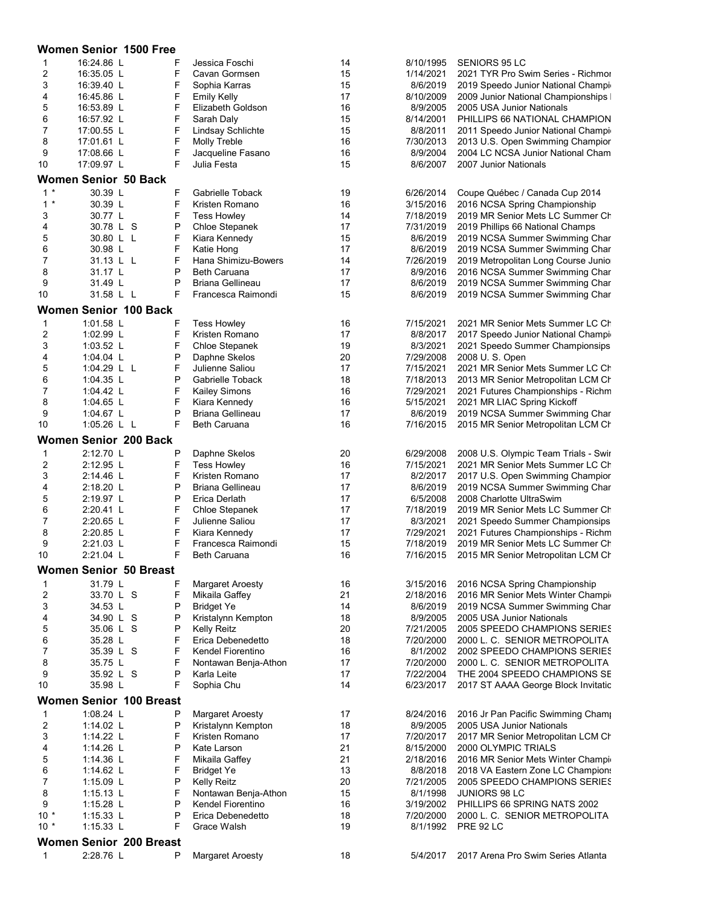|                                | Women Senior 1500 Free           |        |                                          |          |                        |                                                                          |  |  |
|--------------------------------|----------------------------------|--------|------------------------------------------|----------|------------------------|--------------------------------------------------------------------------|--|--|
| 1                              | 16:24.86 L                       |        | Jessica Foschi                           | 14       | 8/10/1995              | <b>SENIORS 95 LC</b>                                                     |  |  |
| 2                              | 16:35.05 L                       | F      | Cavan Gormsen                            | 15       | 1/14/2021              | 2021 TYR Pro Swim Series - Richmor                                       |  |  |
| 3                              | 16:39.40 L                       | F      | Sophia Karras                            | 15       | 8/6/2019               | 2019 Speedo Junior National Champir                                      |  |  |
| 4                              | 16:45.86 L                       | F<br>F | <b>Emily Kelly</b>                       | 17       | 8/10/2009              | 2009 Junior National Championships I                                     |  |  |
| 5<br>6                         | 16:53.89 L<br>16:57.92 L         | F      | Elizabeth Goldson<br>Sarah Daly          | 16<br>15 | 8/9/2005<br>8/14/2001  | 2005 USA Junior Nationals<br>PHILLIPS 66 NATIONAL CHAMPION               |  |  |
| 7                              | 17:00.55 L                       | F      | Lindsay Schlichte                        | 15       | 8/8/2011               | 2011 Speedo Junior National Champir                                      |  |  |
| 8                              | 17:01.61 L                       | F      | Molly Treble                             | 16       | 7/30/2013              | 2013 U.S. Open Swimming Champior                                         |  |  |
| 9                              | 17:08.66 L                       | F      | Jacqueline Fasano                        | 16       | 8/9/2004               | 2004 LC NCSA Junior National Cham                                        |  |  |
| 10                             | 17:09.97 L                       | F      | Julia Festa                              | 15       | 8/6/2007               | 2007 Junior Nationals                                                    |  |  |
|                                | <b>Women Senior 50 Back</b>      |        |                                          |          |                        |                                                                          |  |  |
| $1 *$                          | 30.39 L                          | F      | Gabrielle Toback                         | 19       | 6/26/2014              | Coupe Québec / Canada Cup 2014                                           |  |  |
| $1*$                           | 30.39 L                          | F      | Kristen Romano                           | 16       | 3/15/2016              | 2016 NCSA Spring Championship                                            |  |  |
| 3                              | 30.77 L                          | F      | <b>Tess Howley</b>                       | 14       | 7/18/2019              | 2019 MR Senior Mets LC Summer Ch                                         |  |  |
| 4                              | 30.78 L S<br>30.80 L L           | P<br>F | Chloe Stepanek                           | 17<br>15 | 7/31/2019<br>8/6/2019  | 2019 Phillips 66 National Champs                                         |  |  |
| 5<br>6                         | 30.98 L                          | F      | Kiara Kennedy<br>Katie Hong              | 17       | 8/6/2019               | 2019 NCSA Summer Swimming Char<br>2019 NCSA Summer Swimming Char         |  |  |
| 7                              | 31.13 L L                        | F      | Hana Shimizu-Bowers                      | 14       | 7/26/2019              | 2019 Metropolitan Long Course Junio                                      |  |  |
| 8                              | 31.17 L                          | P      | <b>Beth Caruana</b>                      | 17       | 8/9/2016               | 2016 NCSA Summer Swimming Char                                           |  |  |
| 9                              | 31.49 L                          | P      | <b>Briana Gellineau</b>                  | 17       | 8/6/2019               | 2019 NCSA Summer Swimming Char                                           |  |  |
| 10                             | 31.58 L L                        | F      | Francesca Raimondi                       | 15       | 8/6/2019               | 2019 NCSA Summer Swimming Char                                           |  |  |
|                                | <b>Women Senior 100 Back</b>     |        |                                          |          |                        |                                                                          |  |  |
| 1                              | 1:01.58 L                        | F      | <b>Tess Howley</b>                       | 16       | 7/15/2021              | 2021 MR Senior Mets Summer LC Ch                                         |  |  |
| $\overline{\mathbf{c}}$        | 1:02.99 L                        | F      | Kristen Romano                           | 17       | 8/8/2017               | 2017 Speedo Junior National Champir                                      |  |  |
| 3                              | 1:03.52 $\lfloor$                | F      | Chloe Stepanek                           | 19       | 8/3/2021               | 2021 Speedo Summer Championsips                                          |  |  |
| 4                              | 1:04.04 $\lfloor$                | P      | Daphne Skelos                            | 20       | 7/29/2008              | 2008 U.S. Open                                                           |  |  |
| 5                              | 1:04.29 L L                      | F      | Julienne Saliou                          | 17       | 7/15/2021              | 2021 MR Senior Mets Summer LC Ch                                         |  |  |
| 6<br>$\overline{7}$            | 1:04.35 L<br>1:04.42 L           | P<br>F | Gabrielle Toback<br><b>Kailey Simons</b> | 18<br>16 | 7/18/2013<br>7/29/2021 | 2013 MR Senior Metropolitan LCM Ch<br>2021 Futures Championships - Richm |  |  |
| 8                              | 1:04.65 $L$                      | F      | Kiara Kennedy                            | 16       | 5/15/2021              | 2021 MR LIAC Spring Kickoff                                              |  |  |
| 9                              | 1:04.67 $\lfloor$                | P      | Briana Gellineau                         | 17       | 8/6/2019               | 2019 NCSA Summer Swimming Char                                           |  |  |
| 10                             | 1:05.26 L L                      | F      | <b>Beth Caruana</b>                      | 16       | 7/16/2015              | 2015 MR Senior Metropolitan LCM Ch                                       |  |  |
|                                | <b>Women Senior 200 Back</b>     |        |                                          |          |                        |                                                                          |  |  |
| 1                              | 2:12.70 L                        | P      | Daphne Skelos                            | 20       | 6/29/2008              | 2008 U.S. Olympic Team Trials - Swir                                     |  |  |
| $\overline{c}$                 | 2:12.95 L                        | F      | <b>Tess Howley</b>                       | 16       | 7/15/2021              | 2021 MR Senior Mets Summer LC Ch                                         |  |  |
| 3                              | 2:14.46 L                        | F      | Kristen Romano                           | 17       | 8/2/2017               | 2017 U.S. Open Swimming Champior                                         |  |  |
| 4                              | 2:18.20 L                        | P      | <b>Briana Gellineau</b>                  | 17       | 8/6/2019               | 2019 NCSA Summer Swimming Char                                           |  |  |
| 5                              | 2:19.97 L                        | P      | Erica Derlath                            | 17       | 6/5/2008               | 2008 Charlotte UltraSwim                                                 |  |  |
| 6<br>7                         | 2:20.41 L<br>2:20.65 L           | F<br>F | Chloe Stepanek<br>Julienne Saliou        | 17<br>17 | 7/18/2019<br>8/3/2021  | 2019 MR Senior Mets LC Summer Ch<br>2021 Speedo Summer Championsips      |  |  |
| 8                              | 2:20.85 L                        | F      | Kiara Kennedy                            | 17       | 7/29/2021              | 2021 Futures Championships - Richm                                       |  |  |
| 9                              | 2:21.03 L                        | F      | Francesca Raimondi                       | 15       | 7/18/2019              | 2019 MR Senior Mets LC Summer Ch                                         |  |  |
| 10                             | 2:21.04 L                        | F      | Beth Caruana                             | 16       |                        | 7/16/2015 2015 MR Senior Metropolitan LCM Ch                             |  |  |
|                                | <b>Women Senior 50 Breast</b>    |        |                                          |          |                        |                                                                          |  |  |
| 1                              | 31.79 L                          | F      | <b>Margaret Aroesty</b>                  | 16       | 3/15/2016              | 2016 NCSA Spring Championship                                            |  |  |
| 2                              | 33.70 L S                        | F      | Mikaila Gaffey                           | 21       | 2/18/2016              | 2016 MR Senior Mets Winter Champir                                       |  |  |
| 3                              | 34.53 L                          | P      | <b>Bridget Ye</b>                        | 14       | 8/6/2019               | 2019 NCSA Summer Swimming Char                                           |  |  |
| 4                              | 34.90 L S                        | P      | Kristalynn Kempton                       | 18       | 8/9/2005               | 2005 USA Junior Nationals                                                |  |  |
| 5<br>6                         | 35.06 L S<br>35.28 L             | P<br>F | <b>Kelly Reitz</b><br>Erica Debenedetto  | 20<br>18 | 7/21/2005<br>7/20/2000 | 2005 SPEEDO CHAMPIONS SERIES<br>2000 L. C. SENIOR METROPOLITA            |  |  |
| 7                              | 35.39 L S                        | F      | Kendel Fiorentino                        | 16       | 8/1/2002               | 2002 SPEEDO CHAMPIONS SERIES                                             |  |  |
| 8                              | 35.75 L                          | F      | Nontawan Benja-Athon                     | 17       | 7/20/2000              | 2000 L. C. SENIOR METROPOLITA                                            |  |  |
| 9                              | 35.92 L S                        | P      | Karla Leite                              | 17       | 7/22/2004              | THE 2004 SPEEDO CHAMPIONS SE                                             |  |  |
| 10                             | 35.98 L                          | F      | Sophia Chu                               | 14       | 6/23/2017              | 2017 ST AAAA George Block Invitatio                                      |  |  |
| <b>Women Senior 100 Breast</b> |                                  |        |                                          |          |                        |                                                                          |  |  |
| 1                              | 1:08.24 L                        | P      | <b>Margaret Aroesty</b>                  | 17       | 8/24/2016              | 2016 Jr Pan Pacific Swimming Champ                                       |  |  |
| 2                              | 1:14.02 L                        | P      | Kristalynn Kempton                       | 18       | 8/9/2005               | 2005 USA Junior Nationals                                                |  |  |
| 3                              | 1:14.22 L                        | F      | Kristen Romano                           | 17       | 7/20/2017              | 2017 MR Senior Metropolitan LCM Ch                                       |  |  |
| 4<br>5                         | 1:14.26 L                        | P<br>F | Kate Larson<br>Mikaila Gaffey            | 21<br>21 | 8/15/2000<br>2/18/2016 | 2000 OLYMPIC TRIALS                                                      |  |  |
| 6                              | 1:14.36 $L$<br>1:14.62 $\lfloor$ | F      | <b>Bridget Ye</b>                        | 13       | 8/8/2018               | 2016 MR Senior Mets Winter Champir<br>2018 VA Eastern Zone LC Champions  |  |  |
| 7                              | 1:15.09 L                        | P      | Kelly Reitz                              | 20       | 7/21/2005              | 2005 SPEEDO CHAMPIONS SERIES                                             |  |  |
| 8                              | 1:15.13 $L$                      | F      | Nontawan Benja-Athon                     | 15       | 8/1/1998               | JUNIORS 98 LC                                                            |  |  |
| 9                              | 1:15.28 $L$                      | P      | Kendel Fiorentino                        | 16       | 3/19/2002              | PHILLIPS 66 SPRING NATS 2002                                             |  |  |
| $10 *$                         | 1:15.33 L                        | P      | Erica Debenedetto                        | 18       | 7/20/2000              | 2000 L. C. SENIOR METROPOLITA                                            |  |  |
| $10 *$                         | 1:15.33 L                        | F      | Grace Walsh                              | 19       | 8/1/1992               | <b>PRE 92 LC</b>                                                         |  |  |
|                                | <b>Women Senior 200 Breast</b>   |        |                                          |          |                        |                                                                          |  |  |
| $\mathbf{1}$                   | 2:28.76 L                        | P      | <b>Margaret Aroesty</b>                  | 18       | 5/4/2017               | 2017 Arena Pro Swim Series Atlanta                                       |  |  |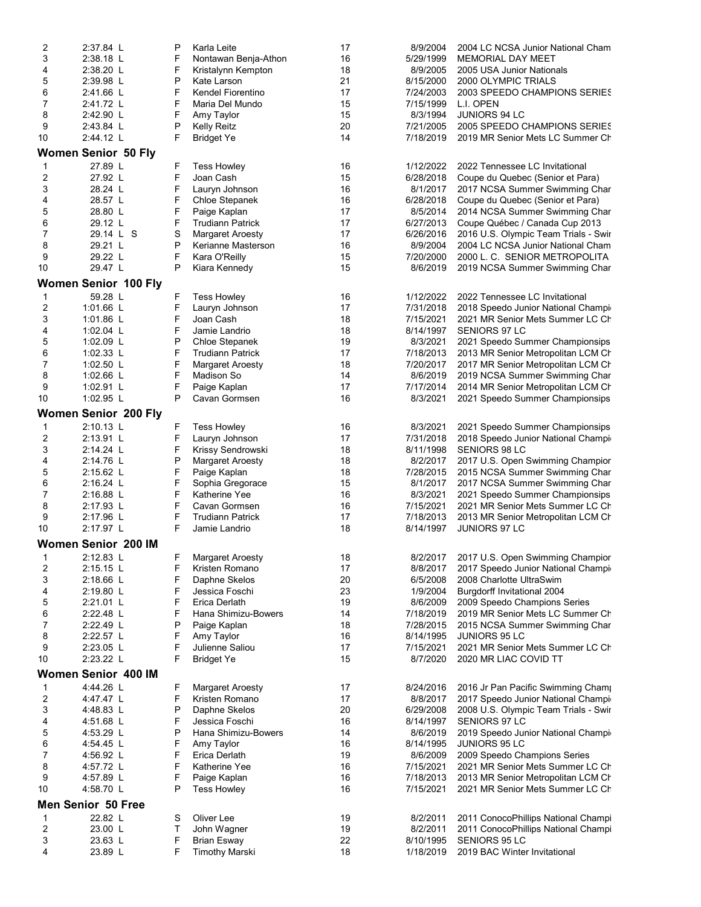| 2                            | 2:37.84 L                   | P      | Karla Leite                             | 17       | 8/9/2004  | 2004 LC NCSA Junior National Cham                                         |
|------------------------------|-----------------------------|--------|-----------------------------------------|----------|-----------|---------------------------------------------------------------------------|
| 3                            | 2:38.18 L                   | F      | Nontawan Benja-Athon                    | 16       | 5/29/1999 | <b>MEMORIAL DAY MEET</b>                                                  |
| 4                            | 2:38.20 L                   | F      | Kristalynn Kempton                      | 18       | 8/9/2005  | 2005 USA Junior Nationals                                                 |
| 5                            | 2:39.98 L                   | P      | Kate Larson                             | 21       | 8/15/2000 | 2000 OLYMPIC TRIALS                                                       |
| 6                            | 2:41.66 L                   | F      | Kendel Fiorentino                       | 17       | 7/24/2003 | 2003 SPEEDO CHAMPIONS SERIES                                              |
| 7                            | 2:41.72 L                   | F      | Maria Del Mundo                         | 15       | 7/15/1999 | L.I. OPEN                                                                 |
| 8                            | 2:42.90 L                   | F      | Amy Taylor                              | 15       | 8/3/1994  | <b>JUNIORS 94 LC</b>                                                      |
| 9                            | 2:43.84 L                   | P      | Kelly Reitz                             | 20       | 7/21/2005 | 2005 SPEEDO CHAMPIONS SERIES                                              |
| 10                           | 2:44.12 L                   | F      | <b>Bridget Ye</b>                       | 14       | 7/18/2019 | 2019 MR Senior Mets LC Summer Ch                                          |
|                              | <b>Women Senior 50 Fly</b>  |        |                                         |          |           |                                                                           |
|                              | 27.89 L                     |        | <b>Tess Howley</b>                      | 16       | 1/12/2022 | 2022 Tennessee LC Invitational                                            |
| 1<br>$\overline{\mathbf{c}}$ | 27.92 L                     | F<br>F | Joan Cash                               | 15       | 6/28/2018 |                                                                           |
| 3                            | 28.24 L                     | F      | Lauryn Johnson                          |          | 8/1/2017  | Coupe du Quebec (Senior et Para)                                          |
| 4                            | 28.57 L                     | F      | Chloe Stepanek                          | 16<br>16 | 6/28/2018 | 2017 NCSA Summer Swimming Char                                            |
| 5                            | 28.80 L                     | F      |                                         | 17       | 8/5/2014  | Coupe du Quebec (Senior et Para)                                          |
|                              | 29.12 L                     | F      | Paige Kaplan<br><b>Trudiann Patrick</b> | 17       | 6/27/2013 | 2014 NCSA Summer Swimming Char                                            |
| 6<br>$\boldsymbol{7}$        | 29.14 L S                   | S      |                                         | 17       | 6/26/2016 | Coupe Québec / Canada Cup 2013                                            |
| 8                            | 29.21 L                     | P      | <b>Margaret Aroesty</b>                 | 16       | 8/9/2004  | 2016 U.S. Olympic Team Trials - Swir<br>2004 LC NCSA Junior National Cham |
| 9                            | 29.22 L                     | F      | Kerianne Masterson<br>Kara O'Reilly     | 15       | 7/20/2000 | 2000 L. C. SENIOR METROPOLITA                                             |
|                              |                             | P      |                                         | 15       |           |                                                                           |
| 10                           | 29.47 L                     |        | Kiara Kennedy                           |          | 8/6/2019  | 2019 NCSA Summer Swimming Char                                            |
|                              | Women Senior 100 Fly        |        |                                         |          |           |                                                                           |
| 1                            | 59.28 L                     | F      | <b>Tess Howley</b>                      | 16       | 1/12/2022 | 2022 Tennessee LC Invitational                                            |
| 2                            | 1:01.66 $L$                 | F      | Lauryn Johnson                          | 17       | 7/31/2018 | 2018 Speedo Junior National Champir                                       |
| 3                            | 1:01.86 L                   | F      | Joan Cash                               | 18       | 7/15/2021 | 2021 MR Senior Mets Summer LC Ch                                          |
| 4                            | 1:02.04 L                   | F      | Jamie Landrio                           | 18       | 8/14/1997 | <b>SENIORS 97 LC</b>                                                      |
| 5                            | 1:02.09 $\lfloor$           | P      | Chloe Stepanek                          | 19       | 8/3/2021  | 2021 Speedo Summer Championsips                                           |
| 6                            | 1:02.33 L                   | F      | <b>Trudiann Patrick</b>                 | 17       | 7/18/2013 | 2013 MR Senior Metropolitan LCM Ch                                        |
| $\boldsymbol{7}$             | 1:02.50 $L$                 | F      | <b>Margaret Aroesty</b>                 | 18       | 7/20/2017 | 2017 MR Senior Metropolitan LCM Ch                                        |
| 8                            | 1:02.66 $L$                 | F      | Madison So                              | 14       | 8/6/2019  | 2019 NCSA Summer Swimming Char                                            |
| 9                            | 1:02.91 L                   | F      | Paige Kaplan                            | 17       | 7/17/2014 | 2014 MR Senior Metropolitan LCM Ch                                        |
| 10                           | 1:02.95 L                   | P      | Cavan Gormsen                           | 16       | 8/3/2021  | 2021 Speedo Summer Championsips                                           |
|                              | <b>Women Senior 200 Fly</b> |        |                                         |          |           |                                                                           |
|                              |                             |        |                                         |          |           |                                                                           |
| 1                            | 2:10.13 L                   | F      | <b>Tess Howley</b>                      | 16       | 8/3/2021  | 2021 Speedo Summer Championsips                                           |
| 2                            | $2:13.91$ L                 | F      | Lauryn Johnson                          | 17       | 7/31/2018 | 2018 Speedo Junior National Champir                                       |
| 3                            | 2:14.24 L                   | F      | Krissy Sendrowski                       | 18       | 8/11/1998 | SENIORS 98 LC                                                             |
| 4                            | 2:14.76 L                   | P      | <b>Margaret Aroesty</b>                 | 18       | 8/2/2017  | 2017 U.S. Open Swimming Champior                                          |
| 5                            | $2:15.62$ L                 | F      | Paige Kaplan                            | 18       | 7/28/2015 | 2015 NCSA Summer Swimming Char                                            |
| 6                            | $2:16.24$ L                 | F      | Sophia Gregorace                        | 15       | 8/1/2017  | 2017 NCSA Summer Swimming Char                                            |
| 7                            | $2:16.88$ L                 | F      | Katherine Yee                           | 16       | 8/3/2021  | 2021 Speedo Summer Championsips                                           |
| 8                            | 2:17.93 L                   | F      | Cavan Gormsen                           | 16       | 7/15/2021 | 2021 MR Senior Mets Summer LC Ch                                          |
| 9                            | 2:17.96 L                   | F      | <b>Trudiann Patrick</b>                 | 17       | 7/18/2013 | 2013 MR Senior Metropolitan LCM Ch                                        |
| 10                           | 2:17.97 L                   | F      | Jamie Landrio                           | 18       | 8/14/1997 | JUNIORS 97 LC                                                             |
|                              | Women Senior 200 IM         |        |                                         |          |           |                                                                           |
| 1                            | 2:12.83 L                   | F.     | <b>Margaret Aroesty</b>                 | 18       | 8/2/2017  | 2017 U.S. Open Swimming Champior                                          |
| 2                            | 2:15.15 L                   | F      | Kristen Romano                          | 17       | 8/8/2017  | 2017 Speedo Junior National Champir                                       |
| 3                            | 2:18.66 L                   | F      | Daphne Skelos                           | 20       | 6/5/2008  | 2008 Charlotte UltraSwim                                                  |
| 4                            | 2:19.80 L                   | F      | Jessica Foschi                          | 23       | 1/9/2004  | Burgdorff Invitational 2004                                               |
| 5                            | 2:21.01 L                   | F      | Erica Derlath                           | 19       | 8/6/2009  | 2009 Speedo Champions Series                                              |
| 6                            | 2:22.48 L                   | F      | Hana Shimizu-Bowers                     | 14       | 7/18/2019 | 2019 MR Senior Mets LC Summer Ch                                          |
| 7                            | 2:22.49 L                   | P      | Paige Kaplan                            | 18       | 7/28/2015 | 2015 NCSA Summer Swimming Char                                            |
| 8                            | 2:22.57 L                   | F      | Amy Taylor                              | 16       | 8/14/1995 | JUNIORS 95 LC                                                             |
| 9                            | 2:23.05 L                   | F      | Julienne Saliou                         | 17       | 7/15/2021 | 2021 MR Senior Mets Summer LC Ch                                          |
| 10                           | 2:23.22 L                   | F      | <b>Bridget Ye</b>                       | 15       | 8/7/2020  | 2020 MR LIAC COVID TT                                                     |
|                              |                             |        |                                         |          |           |                                                                           |
|                              | Women Senior 400 IM         |        |                                         |          |           |                                                                           |
| 1                            | 4:44.26 L                   | F      | <b>Margaret Aroesty</b>                 | 17       | 8/24/2016 | 2016 Jr Pan Pacific Swimming Champ                                        |
| 2                            | 4:47.47 L                   | F      | Kristen Romano                          | 17       | 8/8/2017  | 2017 Speedo Junior National Champir                                       |
| 3                            | 4:48.83 L                   | P      | Daphne Skelos                           | 20       | 6/29/2008 | 2008 U.S. Olympic Team Trials - Swir                                      |
| 4                            | 4:51.68 L                   | F      | Jessica Foschi                          | 16       | 8/14/1997 | SENIORS 97 LC                                                             |
| 5                            | 4:53.29 L                   | P      | Hana Shimizu-Bowers                     | 14       | 8/6/2019  | 2019 Speedo Junior National Champir                                       |
| 6                            | 4:54.45 L                   | F      | Amy Taylor                              | 16       | 8/14/1995 | JUNIORS 95 LC                                                             |
| 7                            | 4:56.92 L                   | F      | Erica Derlath                           | 19       | 8/6/2009  | 2009 Speedo Champions Series                                              |
| 8                            | 4.57.72 L                   | F      | Katherine Yee                           | 16       | 7/15/2021 | 2021 MR Senior Mets Summer LC Ch                                          |
| 9                            | 4:57.89 L                   | F      | Paige Kaplan                            | 16       | 7/18/2013 | 2013 MR Senior Metropolitan LCM Ch                                        |
| 10                           | 4:58.70 L                   | P      | <b>Tess Howley</b>                      | 16       | 7/15/2021 | 2021 MR Senior Mets Summer LC Ch                                          |
|                              | <b>Men Senior 50 Free</b>   |        |                                         |          |           |                                                                           |
| 1                            | 22.82 L                     | S      | Oliver Lee                              | 19       | 8/2/2011  | 2011 ConocoPhillips National Champi                                       |
| 2                            | 23.00 L                     | Τ      | John Wagner                             | 19       | 8/2/2011  | 2011 ConocoPhillips National Champi                                       |
| 3                            | 23.63 L                     | F      | <b>Brian Esway</b>                      | 22       | 8/10/1995 | <b>SENIORS 95 LC</b>                                                      |
| 4                            | 23.89 L                     | F      | <b>Timothy Marski</b>                   | 18       | 1/18/2019 | 2019 BAC Winter Invitational                                              |
|                              |                             |        |                                         |          |           |                                                                           |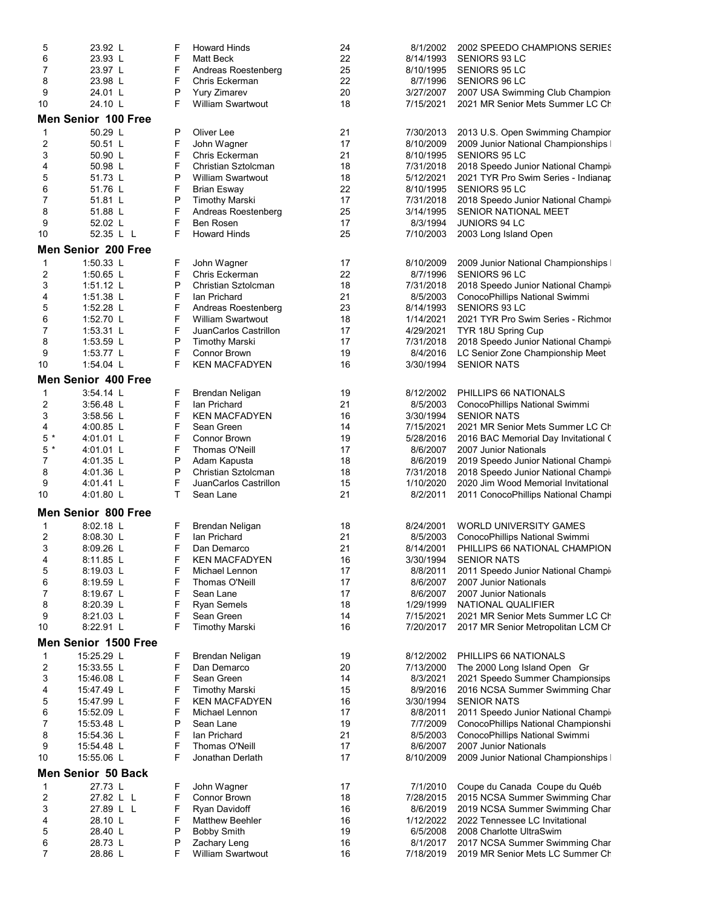| 5              | 23.92 L                    | F | <b>Howard Hinds</b>      | 24   | 8/1/2002  | 2002 SPEEDO CHAMPIONS SERIES         |  |  |
|----------------|----------------------------|---|--------------------------|------|-----------|--------------------------------------|--|--|
| 6              | 23.93 L                    | F | <b>Matt Beck</b>         | 22   | 8/14/1993 | SENIORS 93 LC                        |  |  |
| 7              | 23.97 L                    | F | Andreas Roestenberg      | 25   | 8/10/1995 | SENIORS 95 LC                        |  |  |
| 8              | 23.98 L                    | F | Chris Eckerman           | 22   | 8/7/1996  | SENIORS 96 LC                        |  |  |
| 9              | 24.01 L                    | P | <b>Yury Zimarev</b>      | 20   | 3/27/2007 | 2007 USA Swimming Club Champion      |  |  |
| 10             | 24.10 L                    | F | <b>William Swartwout</b> | 18   | 7/15/2021 | 2021 MR Senior Mets Summer LC Ch     |  |  |
|                | Men Senior 100 Free        |   |                          |      |           |                                      |  |  |
|                |                            |   |                          |      |           |                                      |  |  |
| 1              | 50.29 L<br>50.51 L         | Р | Oliver Lee               | 21   | 7/30/2013 | 2013 U.S. Open Swimming Champior     |  |  |
| 2              |                            | F | John Wagner              | 17   | 8/10/2009 | 2009 Junior National Championships   |  |  |
| 3              | 50.90 L                    | F | Chris Eckerman           | 21   | 8/10/1995 | SENIORS 95 LC                        |  |  |
| 4              | 50.98 L                    | F | Christian Sztolcman      | 18   | 7/31/2018 | 2018 Speedo Junior National Champir  |  |  |
| 5              | 51.73 L                    | P | <b>William Swartwout</b> | 18   | 5/12/2021 | 2021 TYR Pro Swim Series - Indianap  |  |  |
| 6              | 51.76 L                    | F | <b>Brian Esway</b>       | 22   | 8/10/1995 | SENIORS 95 LC                        |  |  |
| 7              | 51.81 L                    | P | <b>Timothy Marski</b>    | 17   | 7/31/2018 | 2018 Speedo Junior National Champir  |  |  |
| 8              | 51.88 L                    | F | Andreas Roestenberg      | 25   | 3/14/1995 | <b>SENIOR NATIONAL MEET</b>          |  |  |
| 9              | 52.02 L                    | F | Ben Rosen                | 17   | 8/3/1994  | JUNIORS 94 LC                        |  |  |
| 10             | 52.35 L L                  | F | <b>Howard Hinds</b>      | 25   | 7/10/2003 | 2003 Long Island Open                |  |  |
|                | Men Senior 200 Free        |   |                          |      |           |                                      |  |  |
| 1              | 1:50.33 L                  | F | John Wagner              | 17   | 8/10/2009 | 2009 Junior National Championships   |  |  |
| 2              | 1:50.65 $L$                | F | Chris Eckerman           | 22   | 8/7/1996  | SENIORS 96 LC                        |  |  |
| 3              | 1:51.12 $\lfloor$          | P | Christian Sztolcman      | 18   | 7/31/2018 | 2018 Speedo Junior National Champir  |  |  |
| 4              | 1:51.38 $L$                | F | Ian Prichard             | 21   | 8/5/2003  | ConocoPhillips National Swimmi       |  |  |
| 5              | $1:52.28$ L                | F | Andreas Roestenberg      | 23   | 8/14/1993 | SENIORS 93 LC                        |  |  |
| 6              | 1:52.70 L                  | F | <b>William Swartwout</b> | 18   | 1/14/2021 | 2021 TYR Pro Swim Series - Richmor   |  |  |
| 7              |                            | F | JuanCarlos Castrillon    | 17   | 4/29/2021 |                                      |  |  |
|                | 1:53.31 $\lfloor$          |   |                          |      |           | TYR 18U Spring Cup                   |  |  |
| 8              | $1:53.59$ L                | P | <b>Timothy Marski</b>    | 17   | 7/31/2018 | 2018 Speedo Junior National Champir  |  |  |
| 9              | 1:53.77 L                  | F | <b>Connor Brown</b>      | 19   | 8/4/2016  | LC Senior Zone Championship Meet     |  |  |
| 10             | 1:54.04 L                  | F | <b>KEN MACFADYEN</b>     | 16   | 3/30/1994 | <b>SENIOR NATS</b>                   |  |  |
|                | Men Senior 400 Free        |   |                          |      |           |                                      |  |  |
| 1              | 3:54.14 L                  | F | Brendan Neligan          | 19   | 8/12/2002 | PHILLIPS 66 NATIONALS                |  |  |
| 2              | 3:56.48 L                  | F | Ian Prichard             | 21   | 8/5/2003  | ConocoPhillips National Swimmi       |  |  |
| 3              | $3.58.56$ L                | F | <b>KEN MACFADYEN</b>     | 16   | 3/30/1994 | <b>SENIOR NATS</b>                   |  |  |
| 4              | $4:00.85$ L                | F | Sean Green               | 14   | 7/15/2021 | 2021 MR Senior Mets Summer LC Ch     |  |  |
| $5*$           | $4:01.01$ L                | F | Connor Brown             | 19   | 5/28/2016 | 2016 BAC Memorial Day Invitational C |  |  |
| $5*$           | 4:01.01 L                  | F | Thomas O'Neill           | 17   | 8/6/2007  | 2007 Junior Nationals                |  |  |
| 7              | $4:01.35$ L                | P | Adam Kapusta             | 18   | 8/6/2019  | 2019 Speedo Junior National Champir  |  |  |
| 8              | 4:01.36 L                  | P | Christian Sztolcman      | 18   | 7/31/2018 | 2018 Speedo Junior National Champir  |  |  |
| 9              | 4:01.41 L                  | F | JuanCarlos Castrillon    | 15   | 1/10/2020 | 2020 Jim Wood Memorial Invitational  |  |  |
| 10             | 4:01.80 L                  | T | Sean Lane                | 21   | 8/2/2011  | 2011 ConocoPhillips National Champi  |  |  |
|                |                            |   |                          |      |           |                                      |  |  |
|                | <b>Men Senior 800 Free</b> |   |                          |      |           |                                      |  |  |
| 1              | 8:02.18 L                  | F | Brendan Neligan          | 18   | 8/24/2001 | <b>WORLD UNIVERSITY GAMES</b>        |  |  |
| $\overline{c}$ | 8:08.30 L                  | F | Ian Prichard             | 21   | 8/5/2003  | ConocoPhillips National Swimmi       |  |  |
| 3              | 8.09.26 L                  | F | Dan Demarco              | 21   | 8/14/2001 | PHILLIPS 66 NATIONAL CHAMPION        |  |  |
| 4              | 8:11.85 L                  | F | <b>KEN MACFADYEN</b>     | $16$ | 3/30/1994 | <b>SENIOR NATS</b>                   |  |  |
| 5              | 8:19.03 L                  | F | Michael Lennon           | 17   | 8/8/2011  | 2011 Speedo Junior National Champir  |  |  |
| 6              | 8:19.59 L                  | F | Thomas O'Neill           | 17   | 8/6/2007  | 2007 Junior Nationals                |  |  |
| 7              | 8:19.67 L                  | F | Sean Lane                | 17   | 8/6/2007  | 2007 Junior Nationals                |  |  |
| 8              | 8:20.39 L                  | F | <b>Ryan Semels</b>       | 18   | 1/29/1999 | NATIONAL QUALIFIER                   |  |  |
| 9              | 8:21.03 L                  | F | Sean Green               | 14   | 7/15/2021 | 2021 MR Senior Mets Summer LC Ch     |  |  |
| 10             | 8:22.91 L                  | F | <b>Timothy Marski</b>    | 16   | 7/20/2017 | 2017 MR Senior Metropolitan LCM Ch   |  |  |
|                |                            |   |                          |      |           |                                      |  |  |
|                | Men Senior 1500 Free       |   |                          |      |           |                                      |  |  |
| 1              | 15:25.29 L                 | F | Brendan Neligan          | 19   | 8/12/2002 | PHILLIPS 66 NATIONALS                |  |  |
| 2              | 15:33.55 L                 | F | Dan Demarco              | 20   | 7/13/2000 | The 2000 Long Island Open Gr         |  |  |
| 3              | 15:46.08 L                 | F | Sean Green               | 14   | 8/3/2021  | 2021 Speedo Summer Championsips      |  |  |
| 4              | 15:47.49 L                 | F | <b>Timothy Marski</b>    | 15   | 8/9/2016  | 2016 NCSA Summer Swimming Char       |  |  |
| 5              | 15:47.99 L                 | F | <b>KEN MACFADYEN</b>     | 16   | 3/30/1994 | <b>SENIOR NATS</b>                   |  |  |
| 6              | 15:52.09 L                 | F | Michael Lennon           | 17   | 8/8/2011  | 2011 Speedo Junior National Champir  |  |  |
| 7              | 15:53.48 L                 | P | Sean Lane                | 19   | 7/7/2009  | ConocoPhillips National Championshi  |  |  |
| 8              | 15:54.36 L                 | F | Ian Prichard             | 21   | 8/5/2003  | ConocoPhillips National Swimmi       |  |  |
| 9              | 15:54.48 L                 | F | Thomas O'Neill           | 17   | 8/6/2007  | 2007 Junior Nationals                |  |  |
| 10             | 15:55.06 L                 | F | Jonathan Derlath         | 17   | 8/10/2009 | 2009 Junior National Championships   |  |  |
|                |                            |   |                          |      |           |                                      |  |  |
|                | <b>Men Senior 50 Back</b>  |   |                          |      |           |                                      |  |  |
| 1              | 27.73 L                    | F | John Wagner              | 17   | 7/1/2010  | Coupe du Canada Coupe du Québ        |  |  |
| 2              | 27.82 L L                  | F | <b>Connor Brown</b>      | 18   | 7/28/2015 | 2015 NCSA Summer Swimming Char       |  |  |
| 3              | 27.89 L L                  | F | Ryan Davidoff            | 16   | 8/6/2019  | 2019 NCSA Summer Swimming Char       |  |  |
| 4              | 28.10 L                    | F | <b>Matthew Beehler</b>   | 16   | 1/12/2022 | 2022 Tennessee LC Invitational       |  |  |
| 5              | 28.40 L                    | P | <b>Bobby Smith</b>       | 19   | 6/5/2008  | 2008 Charlotte UltraSwim             |  |  |
| 6              | 28.73 L                    | P | Zachary Leng             | 16   | 8/1/2017  | 2017 NCSA Summer Swimming Char       |  |  |
| $\overline{7}$ | 28.86 L                    | F | William Swartwout        | 16   | 7/18/2019 | 2019 MR Senior Mets LC Summer Ch     |  |  |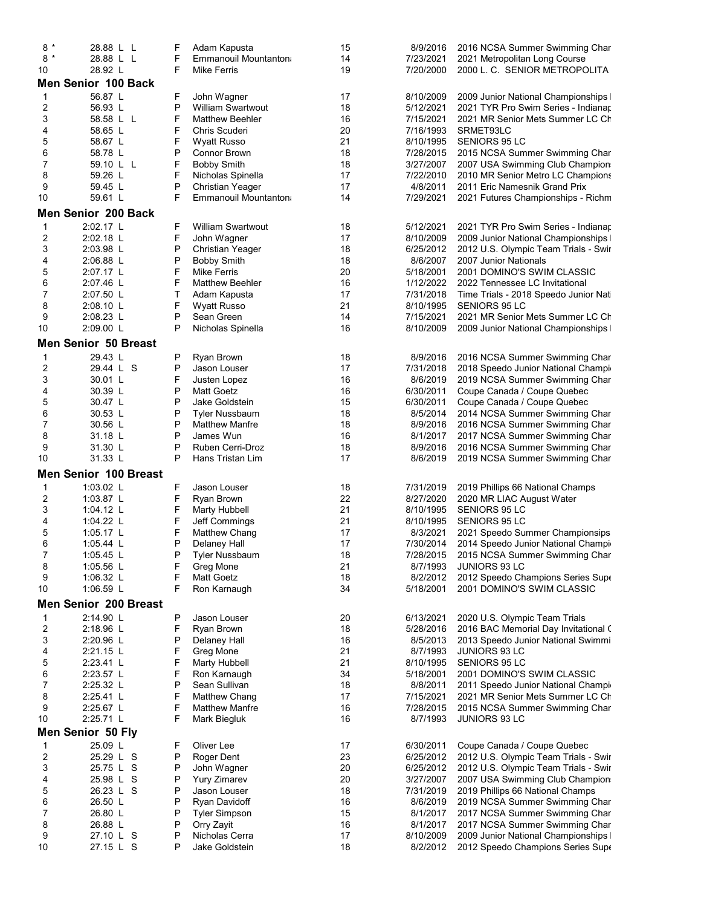| $8 *$          | 28.88 L L                    | F | Adam Kapusta             | 15 | 8/9/2016  | 2016 NCSA Summer Swimming Char        |
|----------------|------------------------------|---|--------------------------|----|-----------|---------------------------------------|
| $8 *$          | 28.88 L L                    | F | Emmanouil Mountanton     | 14 | 7/23/2021 | 2021 Metropolitan Long Course         |
| 10             | 28.92 L                      | F | <b>Mike Ferris</b>       | 19 | 7/20/2000 | 2000 L. C. SENIOR METROPOLITA         |
|                | <b>Men Senior 100 Back</b>   |   |                          |    |           |                                       |
| 1              | 56.87 L                      | F | John Wagner              | 17 | 8/10/2009 | 2009 Junior National Championships I  |
| 2              | 56.93 L                      | P | <b>William Swartwout</b> | 18 | 5/12/2021 | 2021 TYR Pro Swim Series - Indianap   |
| 3              | 58.58 L L                    | F | <b>Matthew Beehler</b>   | 16 | 7/15/2021 | 2021 MR Senior Mets Summer LC Ch      |
| 4              | 58.65 L                      | F | Chris Scuderi            | 20 | 7/16/1993 | SRMET93LC                             |
| 5              | 58.67 L                      | F | <b>Wyatt Russo</b>       | 21 | 8/10/1995 | SENIORS 95 LC                         |
| 6              | 58.78 L                      | P | Connor Brown             | 18 | 7/28/2015 | 2015 NCSA Summer Swimming Char        |
| 7              | 59.10 L L                    | F | <b>Bobby Smith</b>       | 18 | 3/27/2007 | 2007 USA Swimming Club Champion       |
| 8              | 59.26 L                      | F | Nicholas Spinella        | 17 | 7/22/2010 | 2010 MR Senior Metro LC Champions     |
| 9              | 59.45 L                      | P | <b>Christian Yeager</b>  | 17 | 4/8/2011  | 2011 Eric Namesnik Grand Prix         |
| 10             | 59.61 L                      | F | Emmanouil Mountanton     | 14 | 7/29/2021 | 2021 Futures Championships - Richm    |
|                | <b>Men Senior 200 Back</b>   |   |                          |    |           |                                       |
| 1              | 2:02.17 L                    | F | <b>William Swartwout</b> | 18 | 5/12/2021 | 2021 TYR Pro Swim Series - Indianap   |
| 2              | 2:02.18 L                    | F | John Wagner              | 17 | 8/10/2009 | 2009 Junior National Championships I  |
| 3              | 2:03.98 L                    | P | <b>Christian Yeager</b>  | 18 | 6/25/2012 | 2012 U.S. Olympic Team Trials - Swir  |
| 4              | 2:06.88 L                    | P | <b>Bobby Smith</b>       | 18 | 8/6/2007  | 2007 Junior Nationals                 |
| 5              | 2:07.17 L                    | F | <b>Mike Ferris</b>       | 20 | 5/18/2001 | 2001 DOMINO'S SWIM CLASSIC            |
| 6              | 2:07.46 L                    | F | <b>Matthew Beehler</b>   | 16 | 1/12/2022 | 2022 Tennessee LC Invitational        |
| $\overline{7}$ | 2:07.50 L                    | Τ | Adam Kapusta             | 17 | 7/31/2018 | Time Trials - 2018 Speedo Junior Nati |
| 8              | 2:08.10 L                    | F | <b>Wyatt Russo</b>       | 21 | 8/10/1995 | <b>SENIORS 95 LC</b>                  |
| 9              | 2:08.23 L                    | P | Sean Green               | 14 | 7/15/2021 | 2021 MR Senior Mets Summer LC Ch      |
| 10             | 2:09.00 L                    | P | Nicholas Spinella        | 16 | 8/10/2009 | 2009 Junior National Championships    |
|                | <b>Men Senior 50 Breast</b>  |   |                          |    |           |                                       |
| 1              | 29.43 L                      | P | Ryan Brown               | 18 | 8/9/2016  | 2016 NCSA Summer Swimming Char        |
| $\overline{c}$ | 29.44 L S                    | P | Jason Louser             | 17 | 7/31/2018 | 2018 Speedo Junior National Champir   |
| 3              | 30.01 L                      | F | Justen Lopez             | 16 | 8/6/2019  | 2019 NCSA Summer Swimming Char        |
| 4              | 30.39 L                      | P | <b>Matt Goetz</b>        | 16 | 6/30/2011 | Coupe Canada / Coupe Quebec           |
| 5              | 30.47 L                      | P | Jake Goldstein           | 15 | 6/30/2011 | Coupe Canada / Coupe Quebec           |
| 6              | 30.53 L                      | P | Tyler Nussbaum           | 18 | 8/5/2014  | 2014 NCSA Summer Swimming Char        |
| 7              | 30.56 L                      | P | <b>Matthew Manfre</b>    | 18 | 8/9/2016  | 2016 NCSA Summer Swimming Char        |
| 8              | 31.18 L                      | P | James Wun                | 16 | 8/1/2017  | 2017 NCSA Summer Swimming Char        |
| 9              | 31.30 L                      | P | Ruben Cerri-Droz         | 18 | 8/9/2016  | 2016 NCSA Summer Swimming Char        |
| 10             | 31.33 L                      | P | Hans Tristan Lim         | 17 | 8/6/2019  | 2019 NCSA Summer Swimming Char        |
|                | <b>Men Senior 100 Breast</b> |   |                          |    |           |                                       |
| 1              | $1:03.02$ L                  | F | Jason Louser             | 18 | 7/31/2019 | 2019 Phillips 66 National Champs      |
| 2              | 1:03.87 L                    | F | Ryan Brown               | 22 | 8/27/2020 | 2020 MR LIAC August Water             |
| 3              | 1:04.12 $\lfloor$            | F | <b>Marty Hubbell</b>     | 21 | 8/10/1995 | SENIORS 95 LC                         |
| 4              | 1:04.22 $\lfloor$            | F | Jeff Commings            | 21 | 8/10/1995 | <b>SENIORS 95 LC</b>                  |
| 5              | $1:05.17$ L                  | F | Matthew Chang            | 17 | 8/3/2021  | 2021 Speedo Summer Championsips       |
| 6              | 1:05.44 $\lfloor$            | P | Delaney Hall             | 17 | 7/30/2014 | 2014 Speedo Junior National Champir   |
| 7              | 1:05.45 L                    | P | Tyler Nussbaum           | 18 | 7/28/2015 | 2015 NCSA Summer Swimming Char        |
| 8              | 1:05.56 L                    | F | Greg Mone                | 21 | 8/7/1993  | JUNIORS 93 LC                         |
| 9              | 1:06.32 $L$                  | F | <b>Matt Goetz</b>        | 18 | 8/2/2012  | 2012 Speedo Champions Series Supe     |
| 10             | 1:06.59 L                    | F | Ron Karnaugh             | 34 | 5/18/2001 | 2001 DOMINO'S SWIM CLASSIC            |
|                | <b>Men Senior 200 Breast</b> |   |                          |    |           |                                       |
| 1              | 2:14.90 L                    | P | Jason Louser             | 20 | 6/13/2021 | 2020 U.S. Olympic Team Trials         |
| 2              | 2:18.96 L                    | F | Ryan Brown               | 18 | 5/28/2016 | 2016 BAC Memorial Day Invitational (  |
| 3              | 2:20.96 L                    | P | Delaney Hall             | 16 | 8/5/2013  | 2013 Speedo Junior National Swimmi    |
| 4              | 2:21.15 L                    | F | Greg Mone                | 21 | 8/7/1993  | JUNIORS 93 LC                         |
| 5              | 2:23.41 L                    | F | Marty Hubbell            | 21 | 8/10/1995 | SENIORS 95 LC                         |
| 6              | 2:23.57 L                    | F | Ron Karnaugh             | 34 | 5/18/2001 | 2001 DOMINO'S SWIM CLASSIC            |
| 7              | 2:25.32 L                    | P | Sean Sullivan            | 18 | 8/8/2011  | 2011 Speedo Junior National Champio   |
| 8              | 2:25.41 L                    | F | Matthew Chang            | 17 | 7/15/2021 | 2021 MR Senior Mets Summer LC Ch      |
| 9              | 2:25.67 L                    | F | <b>Matthew Manfre</b>    | 16 | 7/28/2015 | 2015 NCSA Summer Swimming Char        |
| 10             | 2:25.71 L                    | F | Mark Biegluk             | 16 | 8/7/1993  | <b>JUNIORS 93 LC</b>                  |
|                | <b>Men Senior 50 Fly</b>     |   |                          |    |           |                                       |
| 1              | 25.09 L                      | F | Oliver Lee               | 17 | 6/30/2011 | Coupe Canada / Coupe Quebec           |
| $\overline{c}$ | 25.29 L S                    | P | Roger Dent               | 23 | 6/25/2012 | 2012 U.S. Olympic Team Trials - Swir  |
| 3              | 25.75 L S                    | P | John Wagner              | 20 | 6/25/2012 | 2012 U.S. Olympic Team Trials - Swir  |
| 4              | 25.98 L S                    | P | <b>Yury Zimarev</b>      | 20 | 3/27/2007 | 2007 USA Swimming Club Champion       |
| 5              | 26.23 L S                    | P | Jason Louser             | 18 | 7/31/2019 | 2019 Phillips 66 National Champs      |
| 6              | 26.50 L                      | P | Ryan Davidoff            | 16 | 8/6/2019  | 2019 NCSA Summer Swimming Char        |
| 7              | 26.80 L                      | P | <b>Tyler Simpson</b>     | 15 | 8/1/2017  | 2017 NCSA Summer Swimming Char        |
| 8              | 26.88 L                      | P | Orry Zayit               | 16 | 8/1/2017  | 2017 NCSA Summer Swimming Char        |
| 9              | 27.10 L S                    | P | Nicholas Cerra           | 17 | 8/10/2009 | 2009 Junior National Championships    |
| 10             | 27.15 L S                    | P | Jake Goldstein           | 18 | 8/2/2012  | 2012 Speedo Champions Series Supe     |